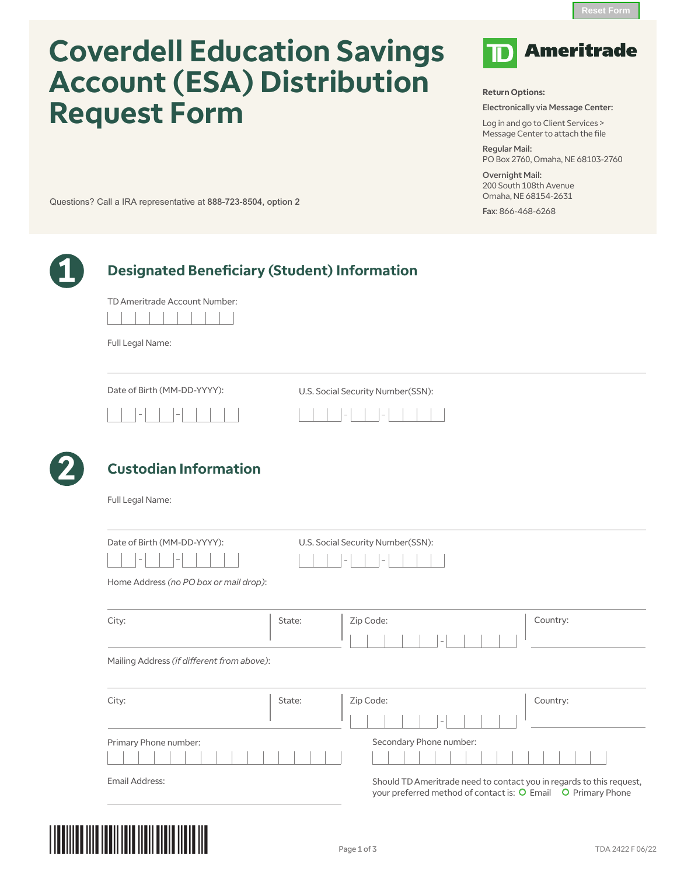# **Coverdell Education Savings Account (ESA) Distribution Request Form**

Questions? Call a IRA representative at 888-723-8504, option 2



**Return Options:**

Electronically via Message Center:

Log in and go to Client Services > Message Center to attach the file

Regular Mail: PO Box 2760, Omaha, NE 68103-2760

Overnight Mail: 200 South 108th Avenue Omaha, NE 68154-2631

Fax: 866-468-6268

## **Designated Beneficiary (Student) Information**

TD Ameritrade Account Number:

Full Legal Name:

Date of Birth (MM-DD-YYYY): U.S. Social Security Number(SSN):





# **Custodian Information**

Full Legal Name:

| Date of Birth (MM-DD-YYYY):                |        | U.S. Social Security Number(SSN): |          |
|--------------------------------------------|--------|-----------------------------------|----------|
| Home Address (no PO box or mail drop):     |        |                                   |          |
| City:                                      | State: | Zip Code:                         | Country: |
| Mailing Address (if different from above): |        |                                   |          |
| City:                                      | State: | Zip Code:                         | Country: |
| Primary Phone number:                      |        | Secondary Phone number:           |          |

Should TD Ameritrade need to contact you in regards to this request, your preferred method of contact is: O Email O Primary Phone



Email Address: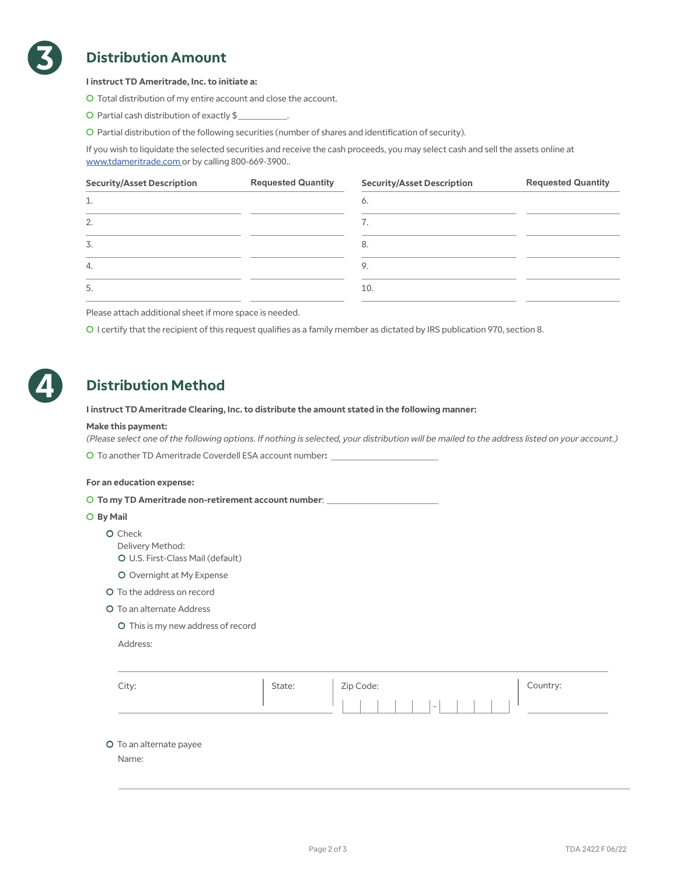# **Distribution Amount**

**3**

**4**

#### **I instruct TD Ameritrade, Inc. to initiate a:**

C Total distribution of my entire account and close the account.

O Partial cash distribution of exactly \$

C Partial distribution of the following securities (number of shares and identification of security).

If you wish to liquidate the selected securities and receive the cash proceeds, you may select cash and sell the assets online at www.tdameritrade.com or by calling 800-669-3900..

| <b>Requested Quantity</b> | <b>Security/Asset Description</b> | <b>Requested Quantity</b> |
|---------------------------|-----------------------------------|---------------------------|
|                           | 6.                                |                           |
|                           | 7.                                |                           |
|                           | 8.                                |                           |
|                           | 9.                                |                           |
|                           | 10.                               |                           |
|                           |                                   |                           |

Please attach additional sheet if more space is needed.

C I certify that the recipient of this request qualifies as a family member as dictated by IRS publication 970, section 8.

# **Distribution Method**

**I instruct TD Ameritrade Clearing, Inc. to distribute the amount stated in the following manner:**

#### **Make this payment:**

*(Please select one of the following options. If nothing is selected, your distribution will be mailed to the address listed on your account.)*

C To another TD Ameritrade Coverdell ESA account number**:**

#### **For an education expense:**

C **To my TD Ameritrade non-retirement account number**:

#### C **By Mail**

- O Check
	- Delivery Method:
	- C U.S. First-Class Mail (default)
	- C Overnight at My Expense
- C To the address on record
- C To an alternate Address
	- C This is my new address of record

Address:

| City:                   | State: | Zip Code:                                | Country: |
|-------------------------|--------|------------------------------------------|----------|
|                         |        | $\vert \vert = \vert$<br><b>Contract</b> |          |
| O To an alternate payee |        |                                          |          |
| Name:                   |        |                                          |          |